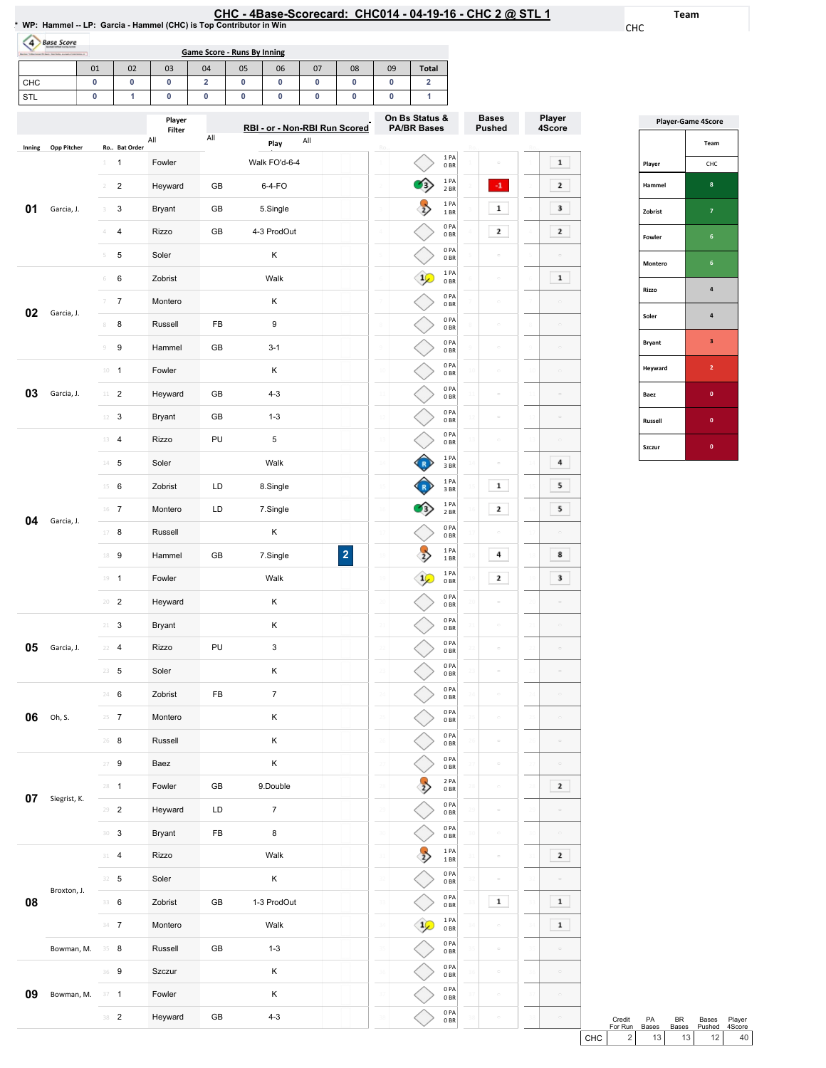| HC - 4Base-Scorecard:  CHC014 - 04-19-16 - CHC 2 @ STL                         ′ |  |  |  |  |  |
|----------------------------------------------------------------------------------|--|--|--|--|--|
|----------------------------------------------------------------------------------|--|--|--|--|--|

0PA 0BR 0PA 0BR  $\begin{array}{c} 1 \text{ PA} \\ 1 \text{ BR} \end{array}$ 0PA 0BR 0PA 0BR  $\begin{array}{c} 1 \ \text{PA} \ 0 \ \text{BR} \end{array}$ 0PA 0BR 0PA 0BR 0PA 0BR 0PA 0BR

 $\Diamond$  $\Diamond$  $\rightarrow$ 

 $\Diamond$ 

 $\Diamond$ 

◇

◇  $\overline{\diamond}$ ◇

 $\sim$ 

 $\boxed{\color{red}1}$ 

 $\sim$ 

 $\sim$ 

 $\sigma$ 

Team

CHC

Player 4Score

 $\boxed{\phantom{1}1}$  $\boxed{2}$  $\overline{\phantom{a}}$  $\boxed{2}$ 

 $\begin{array}{|c|} \hline \textbf{1} \end{array}$ 

 $\boxed{4}$  $5<sub>1</sub>$  $5<sub>1</sub>$ 

 $\overline{\mathbf{8}}$  $\overline{\phantom{a}}$ 

 $\boxed{2}$ 

 $\overline{2}$ 

 $\boxed{1}$ 

 $\boxed{1}$ 

| (4)    | <b>Base Score</b>  |                |                         |                         |                         | <b>Game Score - Runs By Inning</b> |                               |     |                         |                 |                                      |                                                               |         |                               |    |                  |
|--------|--------------------|----------------|-------------------------|-------------------------|-------------------------|------------------------------------|-------------------------------|-----|-------------------------|-----------------|--------------------------------------|---------------------------------------------------------------|---------|-------------------------------|----|------------------|
|        |                    | 01             | 02                      | 03                      | 04                      | 05                                 | 06                            | 07  | 08                      | 09              | <b>Total</b>                         |                                                               |         |                               |    |                  |
| CHC    |                    | 0              | 0                       | 0                       | $\overline{\mathbf{2}}$ | 0                                  | 0                             | 0   | 0                       | 0               | 2                                    |                                                               |         |                               |    |                  |
| STL    |                    | 0              | 1                       | 0                       | 0                       | 0                                  | 0                             | 0   | 0                       | 0               | 1                                    |                                                               |         |                               |    |                  |
|        |                    |                |                         | Player<br>Filter<br>All | All                     |                                    | RBI - or - Non-RBI Run Scored | All |                         |                 | On Bs Status &<br><b>PA/BR Bases</b> |                                                               |         | <b>Bases</b><br><b>Pushed</b> |    | Player<br>4Score |
| Inning | <b>Opp Pitcher</b> | 1              | Ro Bat Order<br>1       | Fowler                  |                         |                                    | Play<br>Walk FO'd-6-4         |     |                         |                 |                                      | 1PA                                                           |         | $\equiv$                      |    | $\mathbf 1$      |
|        |                    |                |                         |                         |                         |                                    |                               |     |                         |                 |                                      | 0BR<br>1 PA                                                   |         |                               |    |                  |
|        |                    | 2              | $\overline{\mathbf{c}}$ | Heyward                 | GB                      |                                    | 6-4-FO                        |     |                         |                 |                                      | 2 BR<br>1PA                                                   |         | $^{\circ1}$                   |    | 2                |
| 01     | Garcia, J.         | 3              | 3                       | <b>Bryant</b>           | GB                      |                                    | 5.Single                      |     |                         |                 |                                      | 1 BR<br>0PA                                                   |         | $\mathbf 1$                   |    | 3                |
|        |                    | 4              | 4                       | Rizzo                   | GB                      |                                    | 4-3 ProdOut                   |     |                         |                 |                                      | 0BR                                                           |         | $\mathbf{z}$                  |    | 2                |
|        |                    | 5              | 5                       | Soler                   |                         |                                    | κ                             |     |                         |                 |                                      | 0PA<br>0 <sub>BR</sub>                                        |         | $\alpha$                      |    |                  |
|        |                    | 6              | 6                       | Zobrist                 |                         |                                    | Walk                          |     |                         | 6               |                                      | 1 PA<br>0 <sub>BR</sub>                                       |         | $\hfill \square$              |    | $\mathbf 1$      |
| 02     | Garcia, J.         | 7              | 7                       | Montero                 |                         |                                    | κ                             |     |                         |                 |                                      | 0PA<br>0 <sub>BR</sub>                                        |         | $\equiv$                      |    |                  |
|        |                    | 8              | 8                       | Russell                 | FB                      |                                    | 9                             |     |                         | $\,$ 8          |                                      | 0PA<br>0 <sub>BR</sub>                                        |         | $\hfill \square$              |    |                  |
|        |                    | $\circledcirc$ | 9                       | Hammel                  | GB                      |                                    | $3 - 1$                       |     |                         |                 |                                      | 0PA<br>0 <sub>BR</sub>                                        |         | $\circ$                       |    |                  |
|        |                    |                | $10 - 1$                | Fowler                  |                         |                                    | κ                             |     |                         | $10\,$          |                                      | 0PA<br>0 <sub>BR</sub>                                        | 1Ć      | $\equiv$                      |    |                  |
| 03     | Garcia, J.         | $11$           | $\overline{2}$          | Heyward                 | GB                      |                                    | $4 - 3$                       |     |                         | 11              |                                      | 0PA<br>0BR                                                    | 11      | $\Box$                        |    |                  |
|        |                    | 12             | 3                       | <b>Bryant</b>           | GB                      |                                    | $1 - 3$                       |     |                         | $\frac{1}{2}$   |                                      | 0PA<br>0 <sub>BR</sub>                                        |         | $\equiv$                      |    |                  |
|        |                    | 13             | $\overline{4}$          | Rizzo                   | PU                      |                                    | 5                             |     |                         | 13              |                                      | 0PA<br>0 <sub>BR</sub>                                        |         | $\equiv$                      |    |                  |
|        |                    | 14             | 5                       | Soler                   |                         |                                    | Walk                          |     |                         | 14              |                                      | 1 PA<br>3 BR                                                  |         | $\hfill \square$              |    | 4                |
|        |                    | 15             | 6                       | Zobrist                 | LD                      |                                    | 8.Single                      |     |                         | 15              |                                      | 1PA<br>3BR                                                    | 15      | $\mathbf 1$                   |    | 5                |
|        |                    |                | 16 7                    | Montero                 | LD                      |                                    | 7.Single                      |     |                         | 16              |                                      | 1 PA<br>2 BR                                                  |         | $\mathbf{z}$                  |    | 5                |
| 04     | Garcia, J.         | 17             | 8                       | Russell                 |                         |                                    | Κ                             |     |                         | 17              |                                      | 0PA<br>0BR                                                    |         | ö                             |    |                  |
|        |                    | 18             | 9                       | Hammel                  | GВ                      |                                    | 7.Single                      |     | $\overline{\mathbf{2}}$ |                 | $\overline{2}$                       | 1PA<br>1BR                                                    |         | 4                             |    | 8                |
|        |                    |                | $19 - 1$                | Fowler                  |                         |                                    | Walk                          |     |                         |                 | $\frac{1}{2}$                        | $\begin{array}{c} 1 \ \text{PA} \\ 0 \ \text{BR} \end{array}$ |         | $\mathbf{2}$                  |    | 3                |
|        |                    |                | $20 - 2$                | Heyward                 |                         |                                    | Κ                             |     |                         | $\overline{20}$ |                                      | 0PA<br>0B                                                     |         | $\hfill \square$              |    | $\Box$           |
|        |                    |                | $21 - 3$                | Bryant                  |                         |                                    | Κ                             |     |                         | 21              |                                      | 0PA<br>0B                                                     | $^{21}$ | $\hfill \square$              |    | $\Box$           |
| 05     | Garcia, J.         |                | $22 - 4$                | Rizzo                   | PU                      |                                    | 3                             |     |                         | 22              |                                      | 0PA<br>0BR                                                    | $^{22}$ | $\hfill \square$              |    | $\equiv$         |
|        |                    |                | $23 - 5$                | Soler                   |                         |                                    | Κ                             |     |                         | 25              |                                      | 0PA<br>0B                                                     |         | $\hfill \square$              |    |                  |
|        |                    |                | 24 6                    | Zobrist                 | FB                      |                                    | $\boldsymbol{7}$              |     |                         | $\overline{24}$ |                                      | 0PA<br>0BR                                                    | 24      | $\circ$                       |    |                  |
| 06     | Oh, S.             |                | $25 \t 7$               | Montero                 |                         |                                    | Κ                             |     |                         | 25              |                                      | 0PA<br>0B                                                     | 25      | $\equiv$                      | 25 |                  |
|        |                    |                | $26$ 8                  | Russell                 |                         |                                    | Κ                             |     |                         | 26              |                                      | 0PA<br>0BR                                                    | 26      | $\hfill \square$              | 26 | $\equiv$         |
|        |                    |                | $27 - 9$                | Baez                    |                         |                                    | Κ                             |     |                         | $\overline{2}$  |                                      | 0PA<br>0B                                                     |         | $\hfill \square$              |    |                  |
|        |                    |                | $28 - 1$                | Fowler                  | GB                      |                                    | 9.Double                      |     |                         | 28              |                                      | 2PA<br>0B                                                     | 28      | $\hfill \square$              |    | $\mathbf{z}$     |
| 07     | Siegrist, K.       |                |                         |                         |                         |                                    |                               |     |                         |                 |                                      |                                                               |         |                               |    |                  |

29 **2 Heyward** LD 7 30 3 Bryant FB 8

 4 Rizzo Walk 32 5 Soler K 6 Zobrist GB 1-3ProdOut 7 Montero Walk

36 9 Szczur K

38 2 Heyward GB 4-3

Fowler K

Bowman, M. 35 8 Russell GB 1-3

08

Broxton,J.

09 Bowman, M. 37 1

|                | <b>Player-Game 4Score</b> |  |  |  |  |  |  |  |
|----------------|---------------------------|--|--|--|--|--|--|--|
|                | Team                      |  |  |  |  |  |  |  |
| Player         | CHC                       |  |  |  |  |  |  |  |
| Hammel         | 8                         |  |  |  |  |  |  |  |
| Zobrist        | 7                         |  |  |  |  |  |  |  |
| Fowler         | 6                         |  |  |  |  |  |  |  |
| Montero        | 6                         |  |  |  |  |  |  |  |
| <b>Rizzo</b>   | 4                         |  |  |  |  |  |  |  |
| Soler          | 4                         |  |  |  |  |  |  |  |
| <b>Bryant</b>  | $\overline{\mathbf{3}}$   |  |  |  |  |  |  |  |
| Heyward        | $\overline{2}$            |  |  |  |  |  |  |  |
| Baez           | $\bf{0}$                  |  |  |  |  |  |  |  |
| <b>Russell</b> | $\mathbf{0}$              |  |  |  |  |  |  |  |
| Szczur         | $\mathbf{0}$              |  |  |  |  |  |  |  |

|     | Credit<br>For Run | <b>PA</b><br><b>Bases</b> | RR.<br><b>Bases</b> | Bases<br>Pushed | Plaver<br>4Score |  |
|-----|-------------------|---------------------------|---------------------|-----------------|------------------|--|
| CHC |                   | 13 <sup>1</sup>           | 13 <sup>1</sup>     | 12 <sup>1</sup> | 40 <sup>1</sup>  |  |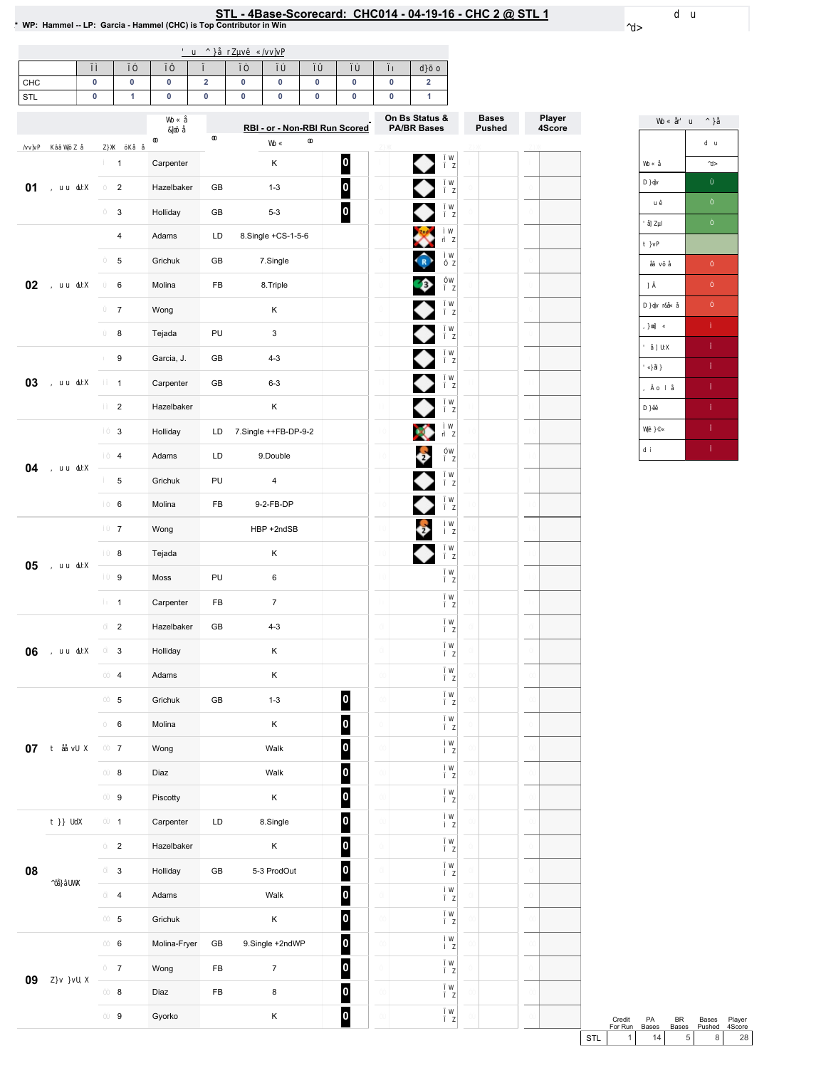### \* WP: Hammel - LP: Garcia - Hammel (CHC) is Top Contributor in Win<br>\* WP: Hammel - LP: Garcia - Hammel (CHC) is Top Contributor in Win

| CHC             |  | ۰ |  |  |  |
|-----------------|--|---|--|--|--|
| <b>QTI</b><br>ິ |  |   |  |  |  |
|                 |  |   |  |  |  |

|    |                         |              |            | RBI - or - Non-RBI Run Scored |                         | On Bs Status &<br><b>PA/BR Bases</b>                         | <b>Bases</b><br><b>Pushed</b> | Player<br>4Score |
|----|-------------------------|--------------|------------|-------------------------------|-------------------------|--------------------------------------------------------------|-------------------------------|------------------|
|    | $\mathbf{1}$            | Carpenter    |            | Κ                             | $\boxed{0}$             |                                                              |                               |                  |
| 01 | $\overline{a}$          | Hazelbaker   | GB         | $1 - 3$                       | $\overline{\mathsf{P}}$ | ◆◆◆※♪                                                        |                               |                  |
|    | 3                       | Holliday     | GB         | $5 - 3$                       | $\boldsymbol{0}$        |                                                              |                               |                  |
|    | $\overline{\mathbf{4}}$ | Adams        | LD         | 8.Single +CS-1-5-6            |                         |                                                              |                               |                  |
|    | 5                       | Grichuk      | GB         | 7.Single                      |                         |                                                              |                               |                  |
| 02 | 6                       | Molina       | FB         | 8.Triple                      |                         |                                                              |                               |                  |
|    | $\overline{7}$          | Wong         |            | Κ                             |                         |                                                              |                               |                  |
|    | 8                       | Tejada       | PU         | 3                             |                         |                                                              |                               |                  |
|    | 9                       | Garcia, J.   | GB         | $4 - 3$                       |                         | $\begin{array}{c} \bullet \\ \bullet \\ \bullet \end{array}$ |                               |                  |
| 03 | $\mathbf{1}$            | Carpenter    | GB         | $6 - 3$                       |                         |                                                              |                               |                  |
|    | $\overline{2}$          | Hazelbaker   |            | Κ                             |                         |                                                              |                               |                  |
|    | 3                       | Holliday     | LD         | 7.Single ++FB-DP-9-2          |                         | X                                                            |                               |                  |
| 04 | $\overline{\mathbf{4}}$ | Adams        | LD         | 9.Double                      |                         |                                                              |                               |                  |
|    | 5                       | Grichuk      | PU         | $\pmb{4}$                     |                         | $\bullet$                                                    |                               |                  |
|    | 6                       | Molina       | FB         | 9-2-FB-DP                     |                         | ♦                                                            |                               |                  |
|    | $\overline{7}$          | Wong         |            | HBP +2ndSB                    |                         | $\bullet$                                                    |                               |                  |
|    | $\bf8$                  | Tejada       |            | Κ                             |                         |                                                              |                               |                  |
| 05 | 9                       | Moss         | PU         | 6                             |                         |                                                              |                               |                  |
|    | $\mathbf{1}$            | Carpenter    | FB         | $\boldsymbol{7}$              |                         |                                                              |                               |                  |
|    | $\overline{2}$          | Hazelbaker   | GB         | $4 - 3$                       |                         |                                                              |                               |                  |
| 06 | 3                       | Holliday     |            | Κ                             |                         |                                                              |                               |                  |
|    | 4                       | Adams        |            | Κ                             |                         |                                                              |                               |                  |
|    | 5                       | Grichuk      | GB         | $1 - 3$                       | $\vert$ 0               |                                                              |                               |                  |
|    | 6                       | Molina       |            | Κ                             | $\boldsymbol{0}$        |                                                              |                               |                  |
| 07 | $\overline{7}$          | Wong         |            | Walk                          | $\overline{\mathbf{0}}$ |                                                              |                               |                  |
|    | 8                       | Diaz         |            | Walk                          | $\overline{\mathbf{0}}$ |                                                              |                               |                  |
|    | 9                       | Piscotty     |            | Κ                             | $\overline{\mathbf{0}}$ |                                                              |                               |                  |
|    | $\mathbf{1}$            | Carpenter    | LD         | 8.Single                      | $\overline{\mathsf{I}}$ |                                                              |                               |                  |
|    | $\overline{2}$          | Hazelbaker   |            | Κ                             | $\overline{\mathbf{0}}$ |                                                              |                               |                  |
| 08 | $\mathbf{3}$            | Holliday     | GB         | 5-3 ProdOut                   | $\overline{\mathbf{0}}$ |                                                              |                               |                  |
|    | $\overline{4}$          | Adams        |            | Walk                          | $\overline{\mathbf{0}}$ |                                                              |                               |                  |
|    | $5\phantom{.0}$         | Grichuk      |            | Κ                             | $\overline{\mathbf{0}}$ |                                                              |                               |                  |
|    | $\bf 6$                 | Molina-Fryer | GB         | 9.Single +2ndWP               | $\overline{\mathbf{0}}$ |                                                              |                               |                  |
| 09 | $\boldsymbol{7}$        | Wong         | FB         | $\boldsymbol{7}$              | $\overline{\mathbf{0}}$ |                                                              |                               |                  |
|    | $\bf8$                  | Diaz         | ${\sf FB}$ | $\bf8$                        | $\overline{\mathbf{0}}$ |                                                              |                               |                  |
|    | $\boldsymbol{9}$        | Gyorko       |            | Κ                             | $\overline{\mathsf{I}}$ |                                                              |                               |                  |



Credit PA BR Bases Player<br>ForRun Bases Bases Pushed 4Score<br>STL 1 14 5 8 28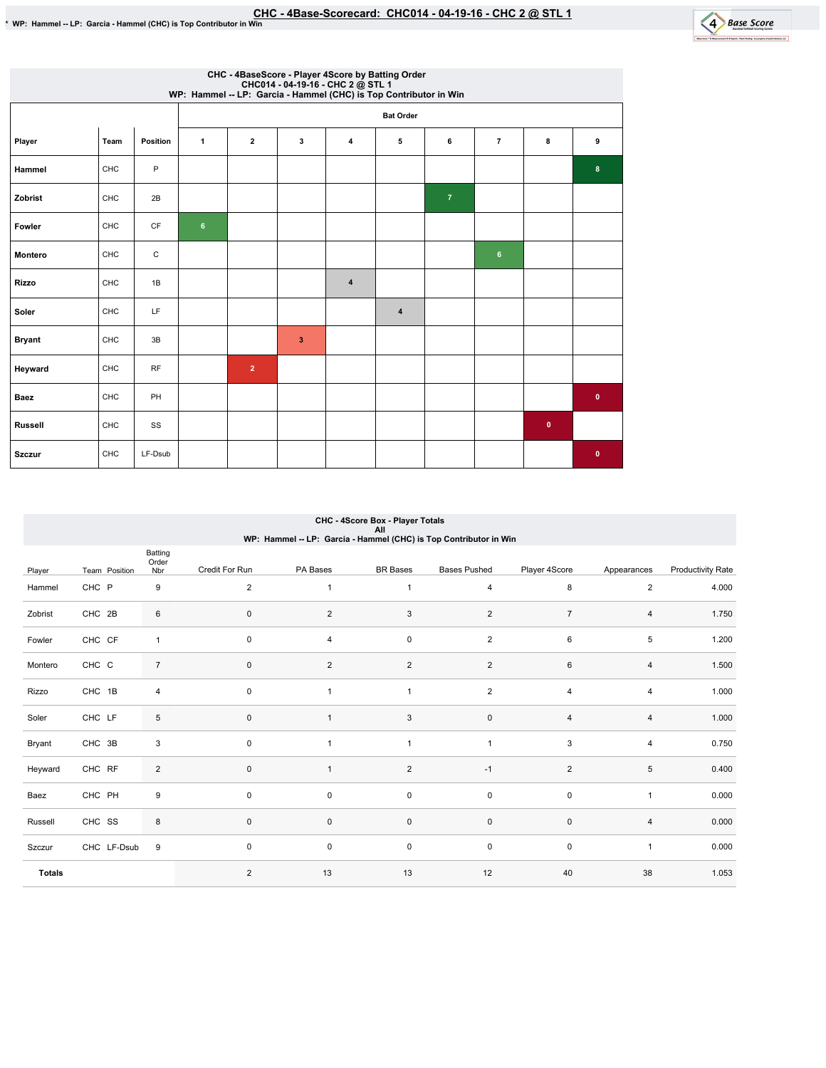

|                | CHC - 4BaseScore - Player 4Score by Batting Order<br>CHC014 - 04-19-16 - CHC 2 @ STL 1<br>WP: Hammel -- LP: Garcia - Hammel (CHC) is Top Contributor in Win |           |                |                |                         |                |                         |                |                |           |              |  |
|----------------|-------------------------------------------------------------------------------------------------------------------------------------------------------------|-----------|----------------|----------------|-------------------------|----------------|-------------------------|----------------|----------------|-----------|--------------|--|
|                |                                                                                                                                                             |           |                |                |                         |                | <b>Bat Order</b>        |                |                |           |              |  |
| Player         | Team                                                                                                                                                        | Position  | $\mathbf{1}$   | $\mathbf{2}$   | 3                       | $\overline{4}$ | 5                       | 6              | $\overline{7}$ | 8         | 9            |  |
| Hammel         | CHC                                                                                                                                                         | P         |                |                |                         |                |                         |                |                |           | 8            |  |
| Zobrist        | CHC                                                                                                                                                         | 2B        |                |                |                         |                |                         | $\overline{7}$ |                |           |              |  |
| Fowler         | CHC                                                                                                                                                         | CF        | $6\phantom{.}$ |                |                         |                |                         |                |                |           |              |  |
| Montero        | CHC                                                                                                                                                         | C         |                |                |                         |                |                         |                | 6              |           |              |  |
| <b>Rizzo</b>   | CHC                                                                                                                                                         | 1B        |                |                |                         | $\overline{4}$ |                         |                |                |           |              |  |
| Soler          | CHC                                                                                                                                                         | LF        |                |                |                         |                | $\overline{\mathbf{4}}$ |                |                |           |              |  |
| <b>Bryant</b>  | CHC                                                                                                                                                         | 3B        |                |                | $\overline{\mathbf{3}}$ |                |                         |                |                |           |              |  |
| Heyward        | CHC                                                                                                                                                         | <b>RF</b> |                | $\overline{2}$ |                         |                |                         |                |                |           |              |  |
| Baez           | CHC                                                                                                                                                         | PH        |                |                |                         |                |                         |                |                |           | $\bullet$    |  |
| <b>Russell</b> | CHC                                                                                                                                                         | SS        |                |                |                         |                |                         |                |                | $\bullet$ |              |  |
| <b>Szczur</b>  | CHC                                                                                                                                                         | LF-Dsub   |                |                |                         |                |                         |                |                |           | $\mathbf{0}$ |  |

# CHC-4ScoreBox-PlayerTotals All WP:Hammel--LP:Garcia-Hammel(CHC)isTopContributorinWin

|               |               | Batting<br>Order        |                |                |                     |                     |                |                |                   |
|---------------|---------------|-------------------------|----------------|----------------|---------------------|---------------------|----------------|----------------|-------------------|
| Player        | Team Position | Nbr                     | Credit For Run | PA Bases       | <b>BR</b> Bases     | <b>Bases Pushed</b> | Player 4Score  | Appearances    | Productivity Rate |
| Hammel        | CHC P         | 9                       | $\overline{2}$ |                | $\mathbf{1}$        | $\overline{4}$      | 8              | $\overline{2}$ | 4.000             |
| Zobrist       | CHC 2B        | 6                       | $\pmb{0}$      | $\overline{2}$ | $\mathbf{3}$        | $\overline{2}$      | $\overline{7}$ | 4              | 1.750             |
| Fowler        | CHC CF        | $\mathbf{1}$            | $\pmb{0}$      | $\overline{4}$ | $\mathsf 0$         | $\overline{c}$      | 6              | 5              | 1.200             |
| Montero       | CHC C         | $\overline{7}$          | $\pmb{0}$      | $\overline{2}$ | 2                   | $\overline{2}$      | 6              | 4              | 1.500             |
| Rizzo         | CHC 1B        | $\overline{\mathbf{4}}$ | $\pmb{0}$      | $\overline{1}$ | $\mathbf{1}$        | $\overline{c}$      | $\overline{4}$ | 4              | 1.000             |
| Soler         | CHC LF        | 5                       | $\pmb{0}$      | $\overline{1}$ | $\mathbf{3}$        | $\mathsf 0$         | $\overline{4}$ | 4              | 1.000             |
| Bryant        | CHC 3B        | $\mathsf 3$             | $\pmb{0}$      |                | $\mathbf{1}$        | $\mathbf{1}$        | $\mathsf 3$    | 4              | 0.750             |
| Heyward       | CHC RF        | $\overline{2}$          | $\pmb{0}$      |                | $\overline{2}$      | $-1$                | $\overline{2}$ | 5              | 0.400             |
| Baez          | CHC PH        | 9                       | $\mathbf 0$    | 0              | 0                   | $\mathsf 0$         | $\mathbf 0$    | 1              | 0.000             |
| Russell       | CHC SS        | 8                       | $\pmb{0}$      | $\mathsf 0$    | $\mathsf{O}\xspace$ | $\mathsf{O}\xspace$ | $\pmb{0}$      | 4              | 0.000             |
| Szczur        | CHC LF-Dsub   | 9                       | $\pmb{0}$      | 0              | $\mathbf 0$         | $\mathsf 0$         | $\pmb{0}$      | $\mathbf{1}$   | 0.000             |
| <b>Totals</b> |               |                         | $\overline{2}$ | 13             | 13                  | 12                  | 40             | 38             | 1.053             |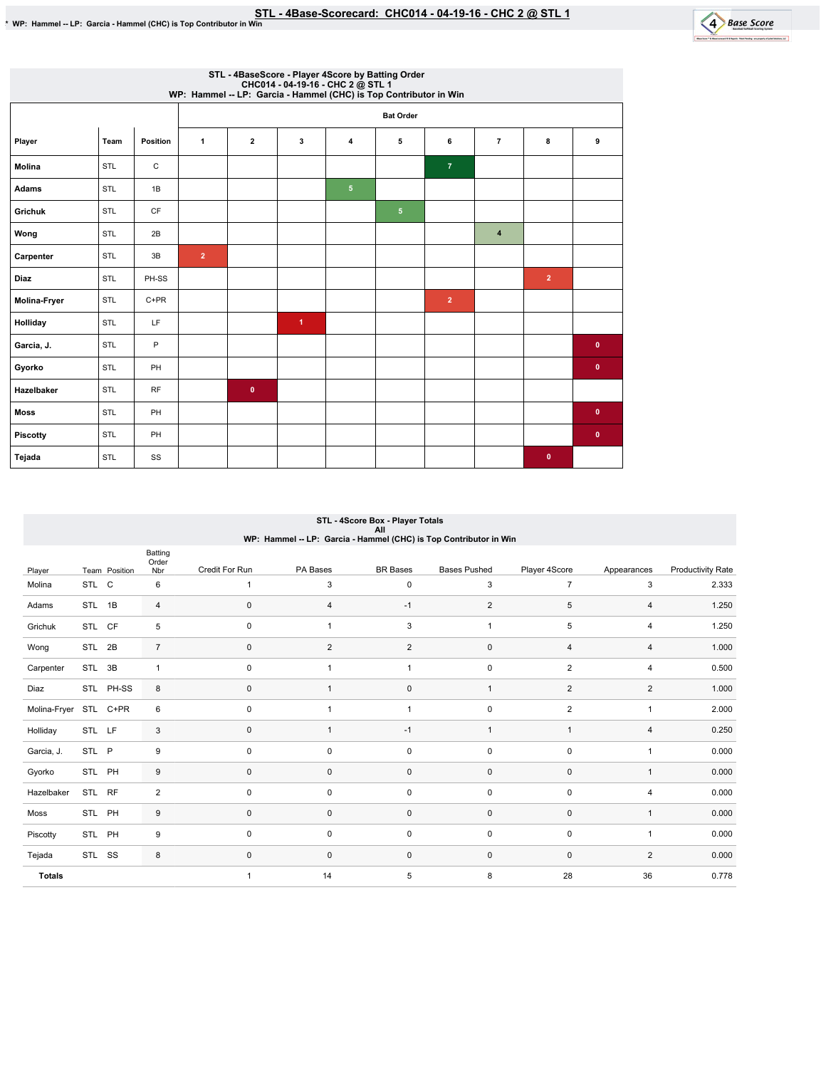

|               | STL - 4BaseScore - Player 4Score by Batting Order<br>CHC014 - 04-19-16 - CHC 2 @ STL 1<br>WP: Hammel -- LP: Garcia - Hammel (CHC) is Top Contributor in Win |             |                |                         |                      |                |                  |                |                         |                |             |  |
|---------------|-------------------------------------------------------------------------------------------------------------------------------------------------------------|-------------|----------------|-------------------------|----------------------|----------------|------------------|----------------|-------------------------|----------------|-------------|--|
|               |                                                                                                                                                             |             |                |                         |                      |                | <b>Bat Order</b> |                |                         |                |             |  |
| Player        | Team                                                                                                                                                        | Position    | $\mathbf{1}$   | $\overline{\mathbf{2}}$ | 3                    | 4              | 5                | 6              | $\overline{7}$          | 8              | 9           |  |
| <b>Molina</b> | STL                                                                                                                                                         | $\mathsf C$ |                |                         |                      |                |                  | $\overline{7}$ |                         |                |             |  |
| Adams         | STL                                                                                                                                                         | 1B          |                |                         |                      | 5 <sub>5</sub> |                  |                |                         |                |             |  |
| Grichuk       | STL                                                                                                                                                         | CF          |                |                         |                      |                | 5 <sub>5</sub>   |                |                         |                |             |  |
| Wong          | STL                                                                                                                                                         | 2B          |                |                         |                      |                |                  |                | $\overline{\mathbf{4}}$ |                |             |  |
| Carpenter     | STL                                                                                                                                                         | 3B          | $\overline{2}$ |                         |                      |                |                  |                |                         |                |             |  |
| <b>Diaz</b>   | <b>STL</b>                                                                                                                                                  | PH-SS       |                |                         |                      |                |                  |                |                         | $\overline{2}$ |             |  |
| Molina-Fryer  | STL                                                                                                                                                         | $C+PR$      |                |                         |                      |                |                  | 2 <sup>1</sup> |                         |                |             |  |
| Holliday      | STL                                                                                                                                                         | LF          |                |                         | $\blacktriangleleft$ |                |                  |                |                         |                |             |  |
| Garcia, J.    | STL                                                                                                                                                         | P           |                |                         |                      |                |                  |                |                         |                | $\mathbf 0$ |  |
| Gyorko        | STL                                                                                                                                                         | PH          |                |                         |                      |                |                  |                |                         |                | $\pmb{0}$   |  |
| Hazelbaker    | <b>STL</b>                                                                                                                                                  | <b>RF</b>   |                | $\mathbf{0}$            |                      |                |                  |                |                         |                |             |  |
| <b>Moss</b>   | STL                                                                                                                                                         | PH          |                |                         |                      |                |                  |                |                         |                | $\mathbf 0$ |  |
| Piscotty      | STL                                                                                                                                                         | PH          |                |                         |                      |                |                  |                |                         |                | $\mathbf 0$ |  |
| Tejada        | STL                                                                                                                                                         | SS          |                |                         |                      |                |                  |                |                         | $\mathbf{0}$   |             |  |

# STL - 4Score Box - Player Totals<br>All<br>WP: Hammel -- LP: Garcia - Hammel (CHC) is Top Contributor in Win

|               |               | Batting<br>Order |                |                |                 |                     |                |                |                          |
|---------------|---------------|------------------|----------------|----------------|-----------------|---------------------|----------------|----------------|--------------------------|
| Player        | Team Position | Nbr              | Credit For Run | PA Bases       | <b>BR</b> Bases | <b>Bases Pushed</b> | Player 4Score  | Appearances    | <b>Productivity Rate</b> |
| Molina        | STL C         | 6                | $\mathbf{1}$   | 3              | 0               | 3                   | $\overline{7}$ | 3              | 2.333                    |
| Adams         | STL<br>1B     | 4                | $\pmb{0}$      | 4              | $-1$            | $\overline{2}$      | 5              | 4              | 1.250                    |
| Grichuk       | STL CF        | 5                | $\pmb{0}$      | 1              | 3               | $\overline{1}$      | 5              | 4              | 1.250                    |
| Wong          | STL 2B        | $\overline{7}$   | $\mathbf 0$    | $\overline{2}$ | $\overline{2}$  | $\mathsf 0$         | $\overline{4}$ | $\overline{4}$ | 1.000                    |
| Carpenter     | 3B<br>STL     | $\mathbf{1}$     | $\mathbf 0$    | 1              | $\mathbf{1}$    | $\mathsf 0$         | 2              | 4              | 0.500                    |
| Diaz          | STL PH-SS     | 8                | $\pmb{0}$      |                | $\mathsf 0$     | $\overline{1}$      | $\overline{2}$ | $\overline{2}$ | 1.000                    |
| Molina-Fryer  | STL C+PR      | 6                | $\pmb{0}$      | $\mathbf{1}$   | $\mathbf{1}$    | $\pmb{0}$           | $\overline{2}$ | $\mathbf{1}$   | 2.000                    |
| Holliday      | STL LF        | 3                | $\mathbf 0$    | 1              | $-1$            | $\mathbf{1}$        | $\overline{1}$ | $\overline{4}$ | 0.250                    |
| Garcia, J.    | STL P         | 9                | $\pmb{0}$      | 0              | $\mathsf 0$     | $\mathsf 0$         | $\pmb{0}$      | 1              | 0.000                    |
| Gyorko        | STL PH        | 9                | $\pmb{0}$      | $\mathbf 0$    | $\pmb{0}$       | $\pmb{0}$           | $\mathbf 0$    | $\mathbf{1}$   | 0.000                    |
| Hazelbaker    | STL RF        | 2                | $\mathbf 0$    | 0              | $\mathsf 0$     | $\mathsf 0$         | $\mathbf 0$    | 4              | 0.000                    |
| Moss          | STL PH        | 9                | $\pmb{0}$      | $\mathbf 0$    | $\pmb{0}$       | $\mathsf 0$         | $\mathbf 0$    | $\mathbf{1}$   | 0.000                    |
| Piscotty      | STL PH        | 9                | $\mathbf 0$    | 0              | $\mathsf 0$     | $\mathsf 0$         | $\mathbf 0$    | $\mathbf{1}$   | 0.000                    |
| Tejada        | STL SS        | 8                | $\mathbf 0$    | 0              | $\mathbf 0$     | $\mathsf 0$         | $\mathbf 0$    | $\overline{2}$ | 0.000                    |
| <b>Totals</b> |               |                  | 1              | 14             | 5               | 8                   | 28             | 36             | 0.778                    |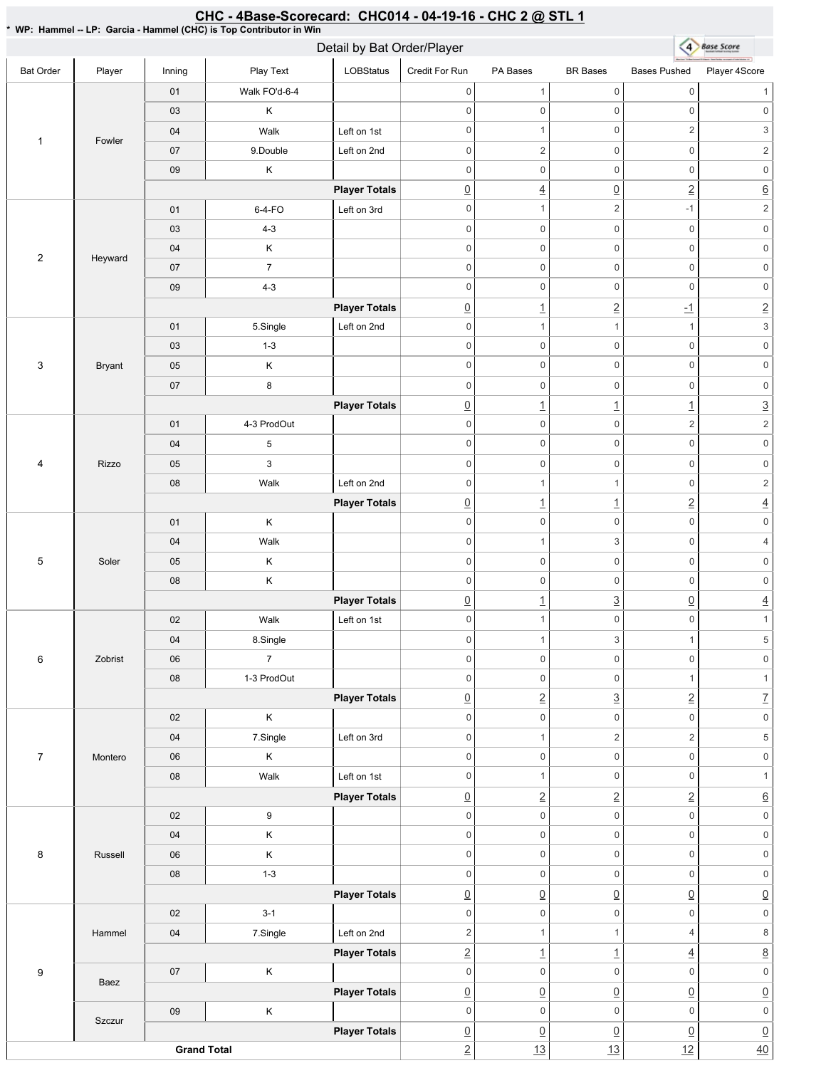#### CHC - 4Base-Scorecard: CHC014 - 04-19-16 - CHC 2 @ STL 1 \* WP: Hammel -- LP: Garcia - Hammel (CHC) is Top Contributor in Win